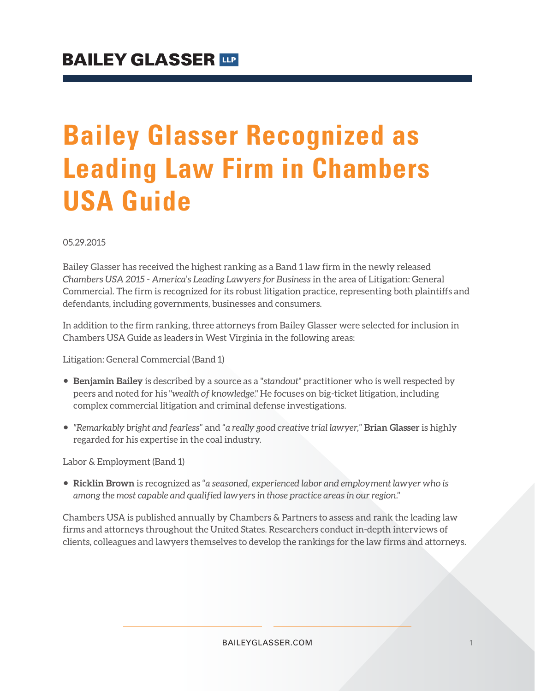## **Bailey Glasser Recognized as Leading Law Firm in Chambers USA Guide**

05.29.2015

Bailey Glasser has received the highest ranking as a Band 1 law firm in the newly released *Chambers USA 2015 - America's Leading Lawyers for Business* in the area of Litigation: General Commercial. The firm is recognized for its robust litigation practice, representing both plaintiffs and defendants, including governments, businesses and consumers.

In addition to the firm ranking, three attorneys from Bailey Glasser were selected for inclusion in Chambers USA Guide as leaders in West Virginia in the following areas:

Litigation: General Commercial (Band 1)

- **Benjamin Bailey** is described by a source as a "*standout*" practitioner who is well respected by peers and noted for his "*wealth of knowledge*." He focuses on big-ticket litigation, including complex commercial litigation and criminal defense investigations.
- *"Remarkably bright and fearless*" and "*a really good creative trial lawyer,*" **Brian Glasser** is highly regarded for his expertise in the coal industry.

Labor & Employment (Band 1)

● **Ricklin Brown** is recognized as "*a seasoned, experienced labor and employment lawyer who is among the most capable and qualified lawyers in those practice areas in our region."* 

Chambers USA is published annually by Chambers & Partners to assess and rank the leading law firms and attorneys throughout the United States. Researchers conduct in-depth interviews of clients, colleagues and lawyers themselves to develop the rankings for the law firms and attorneys.